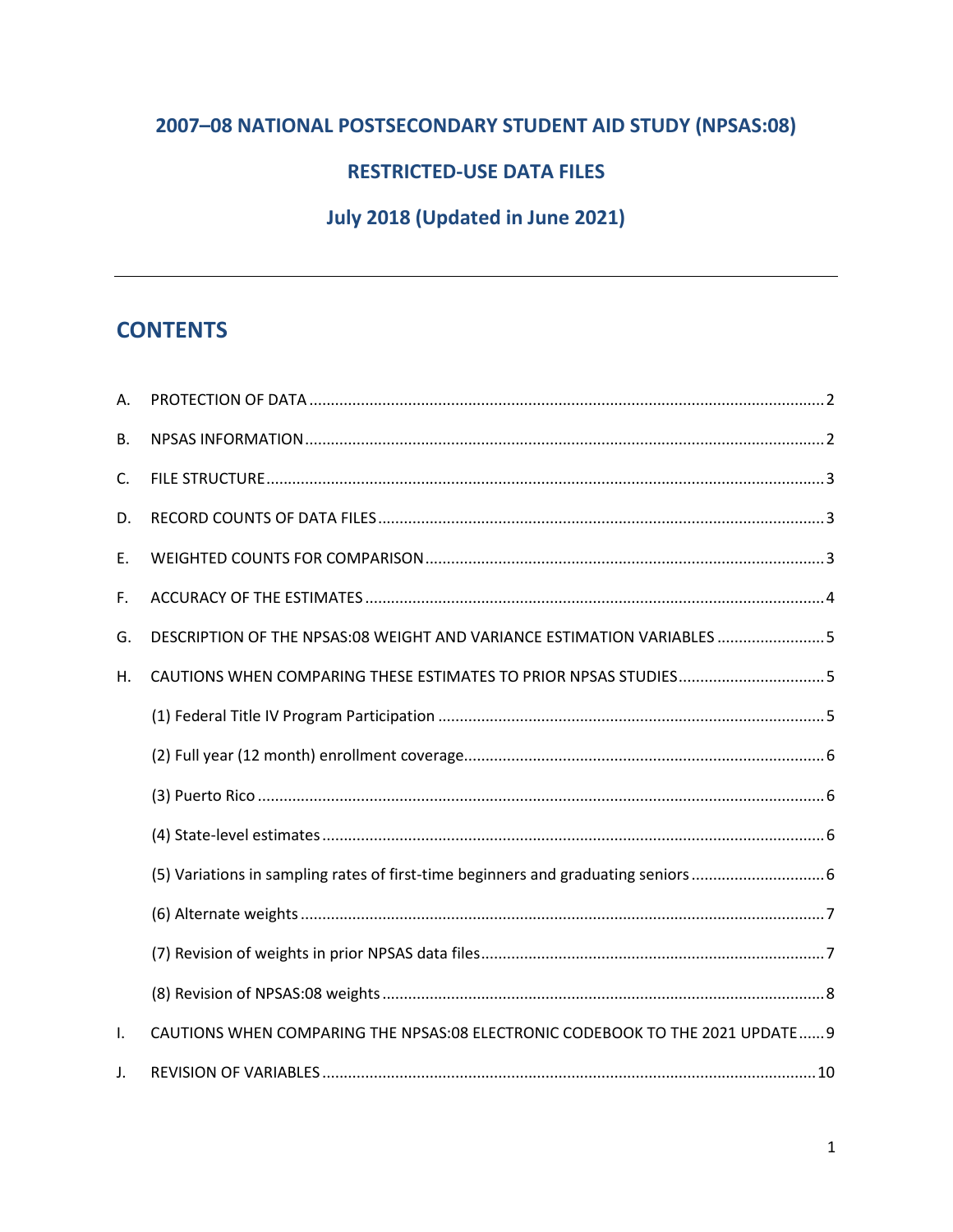## 2007-08 NATIONAL POSTSECONDARY STUDENT AID STUDY (NPSAS:08)

### **RESTRICTED-USE DATA FILES**

## July 2018 (Updated in June 2021)

## **CONTENTS**

| А. |                                                                               |
|----|-------------------------------------------------------------------------------|
| В. |                                                                               |
| C. |                                                                               |
| D. |                                                                               |
| Е. |                                                                               |
| F. |                                                                               |
| G. | DESCRIPTION OF THE NPSAS:08 WEIGHT AND VARIANCE ESTIMATION VARIABLES  5       |
| Н. | CAUTIONS WHEN COMPARING THESE ESTIMATES TO PRIOR NPSAS STUDIES5               |
|    |                                                                               |
|    |                                                                               |
|    |                                                                               |
|    |                                                                               |
|    |                                                                               |
|    |                                                                               |
|    |                                                                               |
|    |                                                                               |
| I. | CAUTIONS WHEN COMPARING THE NPSAS:08 ELECTRONIC CODEBOOK TO THE 2021 UPDATE 9 |
| J. |                                                                               |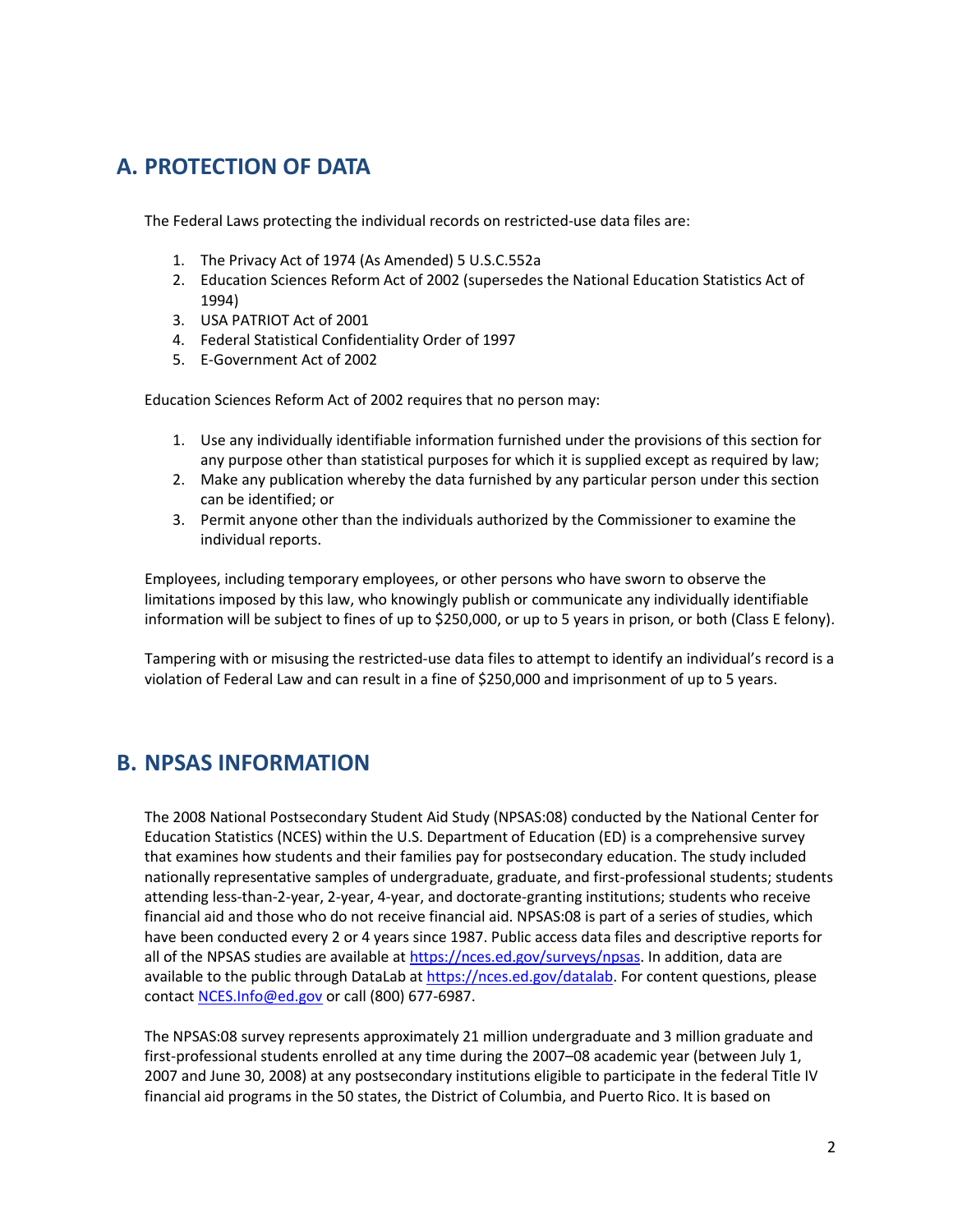## <span id="page-1-0"></span>**A. PROTECTION OF DATA**

The Federal Laws protecting the individual records on restricted-use data files are:

- 1. The Privacy Act of 1974 (As Amended) 5 U.S.C.552a
- 2. Education Sciences Reform Act of 2002 (supersedes the National Education Statistics Act of 1994)
- 3. USA PATRIOT Act of 2001
- 4. Federal Statistical Confidentiality Order of 1997
- 5. E-Government Act of 2002

Education Sciences Reform Act of 2002 requires that no person may:

- 1. Use any individually identifiable information furnished under the provisions of this section for any purpose other than statistical purposes for which it is supplied except as required by law;
- 2. Make any publication whereby the data furnished by any particular person under this section can be identified; or
- 3. Permit anyone other than the individuals authorized by the Commissioner to examine the individual reports.

Employees, including temporary employees, or other persons who have sworn to observe the limitations imposed by this law, who knowingly publish or communicate any individually identifiable information will be subject to fines of up to \$250,000, or up to 5 years in prison, or both (Class E felony).

Tampering with or misusing the restricted-use data files to attempt to identify an individual's record is a violation of Federal Law and can result in a fine of \$250,000 and imprisonment of up to 5 years.

## <span id="page-1-1"></span>**B. NPSAS INFORMATION**

The 2008 National Postsecondary Student Aid Study (NPSAS:08) conducted by the National Center for Education Statistics (NCES) within the U.S. Department of Education (ED) is a comprehensive survey that examines how students and their families pay for postsecondary education. The study included nationally representative samples of undergraduate, graduate, and first-professional students; students attending less-than-2-year, 2-year, 4-year, and doctorate-granting institutions; students who receive financial aid and those who do not receive financial aid. NPSAS:08 is part of a series of studies, which have been conducted every 2 or 4 years since 1987. Public access data files and descriptive reports for all of the NPSAS studies are available at [https://nces.ed.gov/surveys/npsas.](https://nces.ed.gov/surveys/npsas) In addition, data are available to the public through DataLab at [https://nces.ed.gov/datalab.](https://nces.ed.gov/datalab) For content questions, please contact [NCES.Info@ed.gov](mailto:NCES.Info@ed.gov) or call (800) 677-6987.

The NPSAS:08 survey represents approximately 21 million undergraduate and 3 million graduate and first-professional students enrolled at any time during the 2007–08 academic year (between July 1, 2007 and June 30, 2008) at any postsecondary institutions eligible to participate in the federal Title IV financial aid programs in the 50 states, the District of Columbia, and Puerto Rico. It is based on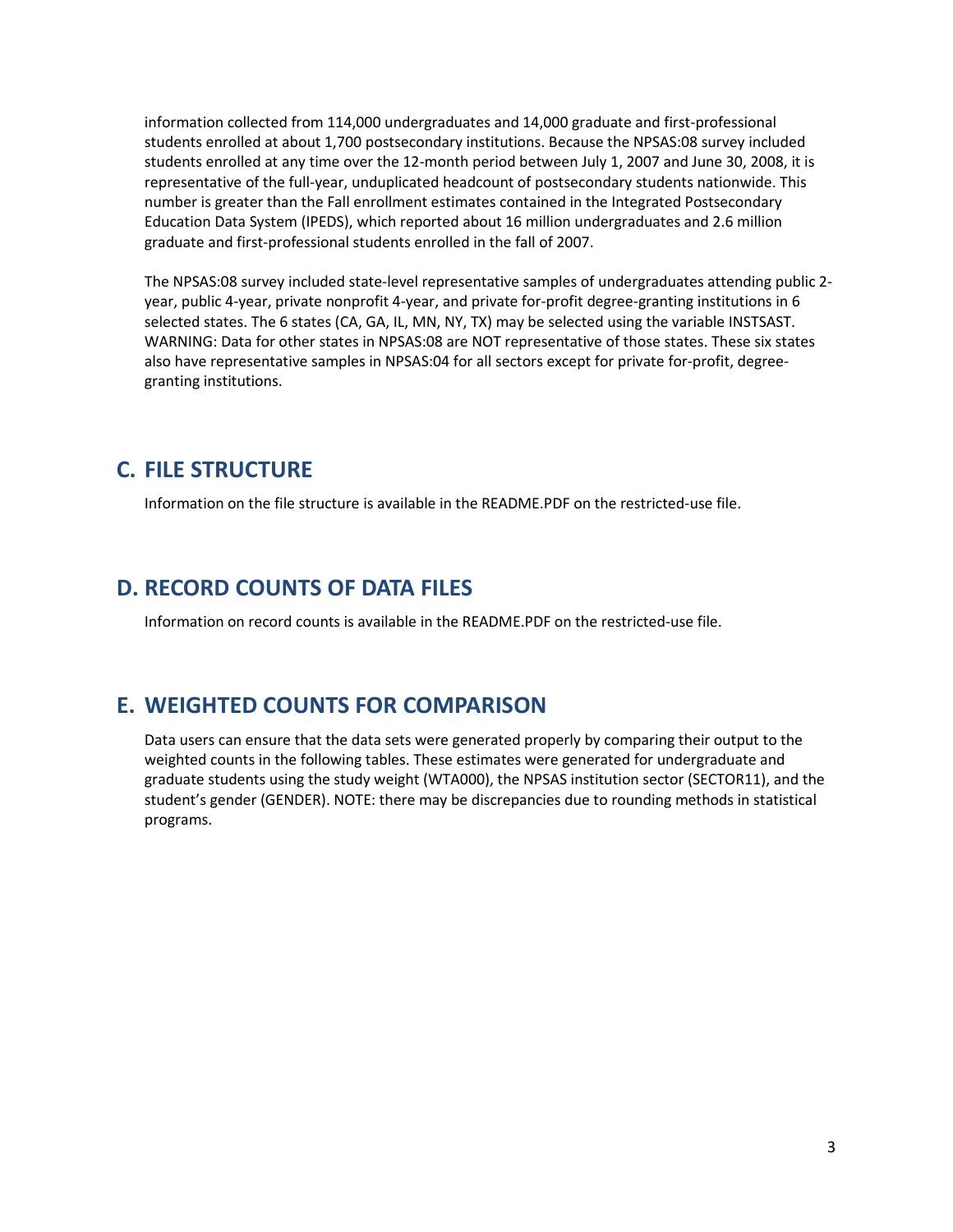information collected from 114,000 undergraduates and 14,000 graduate and first-professional students enrolled at about 1,700 postsecondary institutions. Because the NPSAS:08 survey included students enrolled at any time over the 12-month period between July 1, 2007 and June 30, 2008, it is representative of the full-year, unduplicated headcount of postsecondary students nationwide. This number is greater than the Fall enrollment estimates contained in the Integrated Postsecondary Education Data System (IPEDS), which reported about 16 million undergraduates and 2.6 million graduate and first-professional students enrolled in the fall of 2007.

The NPSAS:08 survey included state-level representative samples of undergraduates attending public 2 year, public 4-year, private nonprofit 4-year, and private for-profit degree-granting institutions in 6 selected states. The 6 states (CA, GA, IL, MN, NY, TX) may be selected using the variable INSTSAST. WARNING: Data for other states in NPSAS:08 are NOT representative of those states. These six states also have representative samples in NPSAS:04 for all sectors except for private for-profit, degreegranting institutions.

## <span id="page-2-0"></span>**C. FILE STRUCTURE**

Information on the file structure is available in the README.PDF on the restricted-use file.

## <span id="page-2-1"></span>**D. RECORD COUNTS OF DATA FILES**

Information on record counts is available in the README.PDF on the restricted-use file.

### <span id="page-2-2"></span>**E. WEIGHTED COUNTS FOR COMPARISON**

Data users can ensure that the data sets were generated properly by comparing their output to the weighted counts in the following tables. These estimates were generated for undergraduate and graduate students using the study weight (WTA000), the NPSAS institution sector (SECTOR11), and the student's gender (GENDER). NOTE: there may be discrepancies due to rounding methods in statistical programs.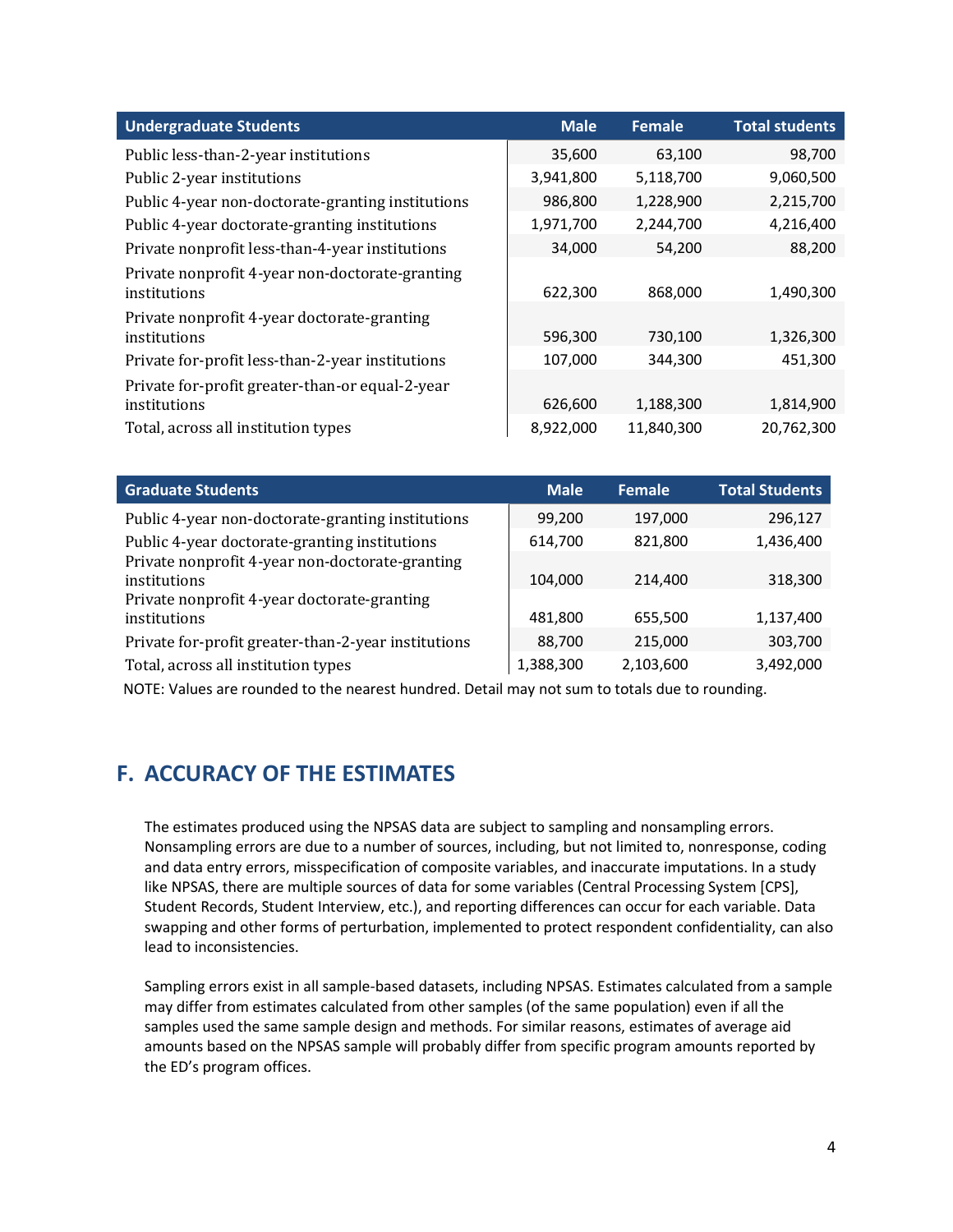| <b>Undergraduate Students</b>                                   | <b>Male</b> | <b>Female</b> | <b>Total students</b> |
|-----------------------------------------------------------------|-------------|---------------|-----------------------|
| Public less-than-2-year institutions                            | 35,600      | 63,100        | 98,700                |
| Public 2-year institutions                                      | 3,941,800   | 5,118,700     | 9,060,500             |
| Public 4-year non-doctorate-granting institutions               | 986,800     | 1,228,900     | 2,215,700             |
| Public 4-year doctorate-granting institutions                   | 1,971,700   | 2,244,700     | 4,216,400             |
| Private nonprofit less-than-4-year institutions                 | 34,000      | 54,200        | 88,200                |
| Private nonprofit 4-year non-doctorate-granting<br>institutions | 622,300     | 868,000       | 1,490,300             |
| Private nonprofit 4-year doctorate-granting                     |             |               |                       |
| institutions                                                    | 596,300     | 730,100       | 1,326,300             |
| Private for-profit less-than-2-year institutions                | 107,000     | 344,300       | 451,300               |
| Private for-profit greater-than-or equal-2-year                 |             |               |                       |
| institutions                                                    | 626,600     | 1,188,300     | 1,814,900             |
| Total, across all institution types                             | 8,922,000   | 11,840,300    | 20,762,300            |

| <b>Graduate Students</b>                            | <b>Male</b> | <b>Female</b> | <b>Total Students</b> |
|-----------------------------------------------------|-------------|---------------|-----------------------|
| Public 4-year non-doctorate-granting institutions   | 99,200      | 197,000       | 296,127               |
| Public 4-year doctorate-granting institutions       | 614,700     | 821,800       | 1,436,400             |
| Private nonprofit 4-year non-doctorate-granting     |             |               |                       |
| institutions                                        | 104,000     | 214,400       | 318,300               |
| Private nonprofit 4-year doctorate-granting         |             |               |                       |
| institutions                                        | 481,800     | 655,500       | 1,137,400             |
| Private for-profit greater-than-2-year institutions | 88,700      | 215,000       | 303,700               |
| Total, across all institution types                 | 1,388,300   | 2,103,600     | 3,492,000             |

<span id="page-3-0"></span>NOTE: Values are rounded to the nearest hundred. Detail may not sum to totals due to rounding.

## **F. ACCURACY OF THE ESTIMATES**

The estimates produced using the NPSAS data are subject to sampling and nonsampling errors. Nonsampling errors are due to a number of sources, including, but not limited to, nonresponse, coding and data entry errors, misspecification of composite variables, and inaccurate imputations. In a study like NPSAS, there are multiple sources of data for some variables (Central Processing System [CPS], Student Records, Student Interview, etc.), and reporting differences can occur for each variable. Data swapping and other forms of perturbation, implemented to protect respondent confidentiality, can also lead to inconsistencies.

Sampling errors exist in all sample-based datasets, including NPSAS. Estimates calculated from a sample may differ from estimates calculated from other samples (of the same population) even if all the samples used the same sample design and methods. For similar reasons, estimates of average aid amounts based on the NPSAS sample will probably differ from specific program amounts reported by the ED's program offices.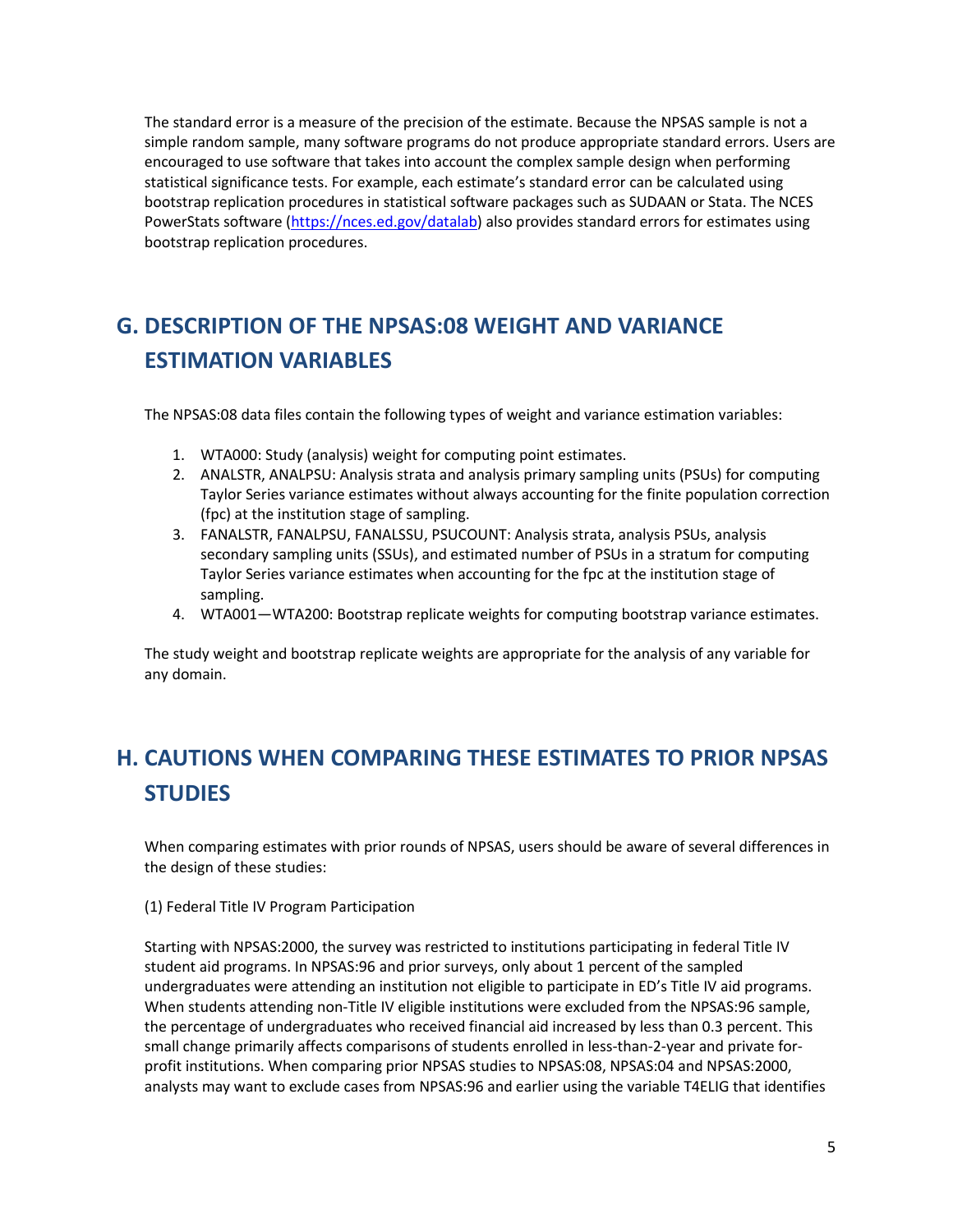The standard error is a measure of the precision of the estimate. Because the NPSAS sample is not a simple random sample, many software programs do not produce appropriate standard errors. Users are encouraged to use software that takes into account the complex sample design when performing statistical significance tests. For example, each estimate's standard error can be calculated using bootstrap replication procedures in statistical software packages such as SUDAAN or Stata. The NCES PowerStats software [\(https://nces.ed.gov/datalab\)](https://nces.ed.gov/datalab) also provides standard errors for estimates using bootstrap replication procedures.

# <span id="page-4-0"></span>**G. DESCRIPTION OF THE NPSAS:08 WEIGHT AND VARIANCE ESTIMATION VARIABLES**

The NPSAS:08 data files contain the following types of weight and variance estimation variables:

- 1. WTA000: Study (analysis) weight for computing point estimates.
- 2. ANALSTR, ANALPSU: Analysis strata and analysis primary sampling units (PSUs) for computing Taylor Series variance estimates without always accounting for the finite population correction (fpc) at the institution stage of sampling.
- 3. FANALSTR, FANALPSU, FANALSSU, PSUCOUNT: Analysis strata, analysis PSUs, analysis secondary sampling units (SSUs), and estimated number of PSUs in a stratum for computing Taylor Series variance estimates when accounting for the fpc at the institution stage of sampling.
- 4. WTA001—WTA200: Bootstrap replicate weights for computing bootstrap variance estimates.

The study weight and bootstrap replicate weights are appropriate for the analysis of any variable for any domain.

# <span id="page-4-1"></span>**H. CAUTIONS WHEN COMPARING THESE ESTIMATES TO PRIOR NPSAS STUDIES**

When comparing estimates with prior rounds of NPSAS, users should be aware of several differences in the design of these studies:

#### <span id="page-4-2"></span>(1) Federal Title IV Program Participation

Starting with NPSAS:2000, the survey was restricted to institutions participating in federal Title IV student aid programs. In NPSAS:96 and prior surveys, only about 1 percent of the sampled undergraduates were attending an institution not eligible to participate in ED's Title IV aid programs. When students attending non-Title IV eligible institutions were excluded from the NPSAS:96 sample, the percentage of undergraduates who received financial aid increased by less than 0.3 percent. This small change primarily affects comparisons of students enrolled in less-than-2-year and private forprofit institutions. When comparing prior NPSAS studies to NPSAS:08, NPSAS:04 and NPSAS:2000, analysts may want to exclude cases from NPSAS:96 and earlier using the variable T4ELIG that identifies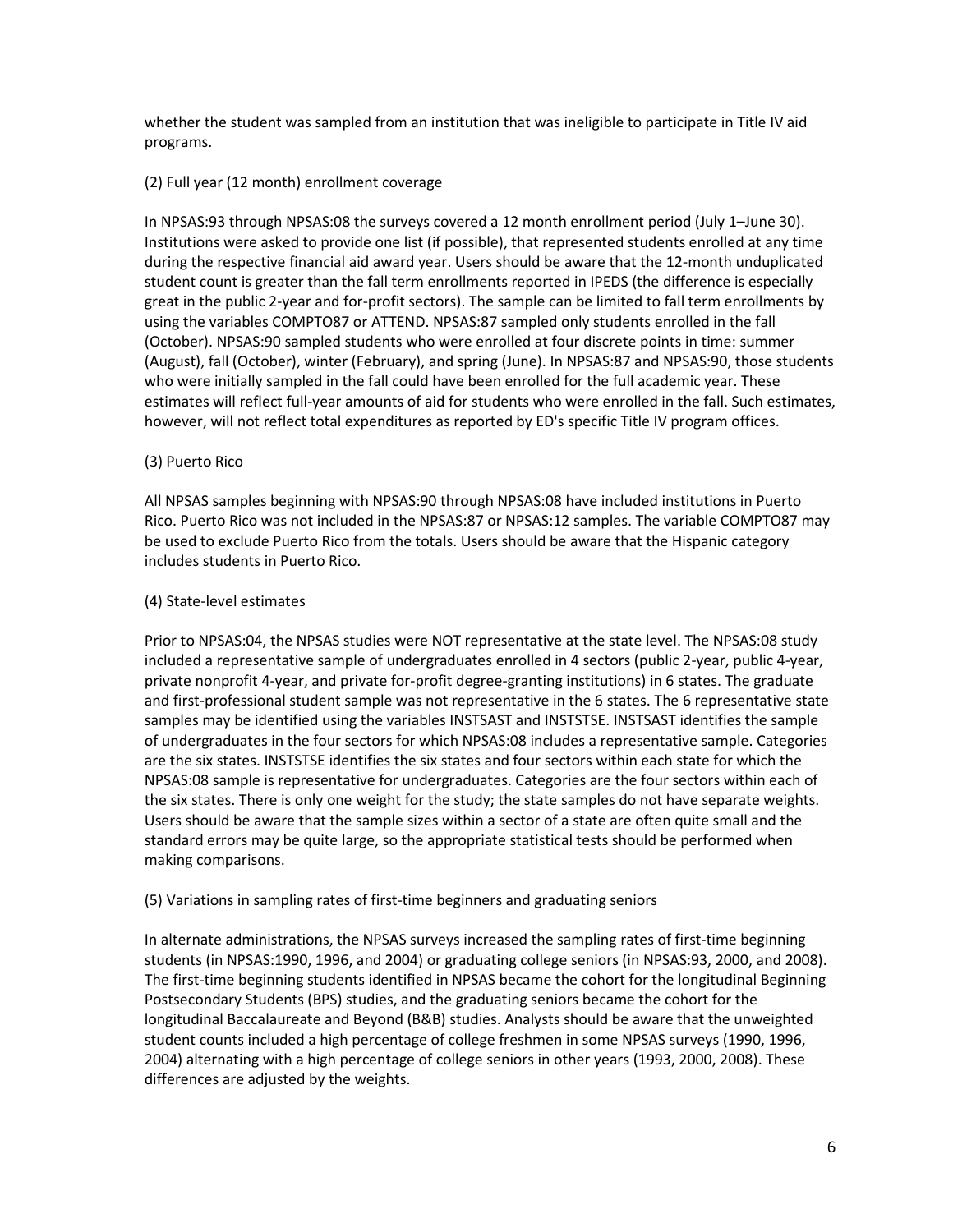whether the student was sampled from an institution that was ineligible to participate in Title IV aid programs.

#### <span id="page-5-0"></span>(2) Full year (12 month) enrollment coverage

In NPSAS:93 through NPSAS:08 the surveys covered a 12 month enrollment period (July 1–June 30). Institutions were asked to provide one list (if possible), that represented students enrolled at any time during the respective financial aid award year. Users should be aware that the 12-month unduplicated student count is greater than the fall term enrollments reported in IPEDS (the difference is especially great in the public 2-year and for-profit sectors). The sample can be limited to fall term enrollments by using the variables COMPTO87 or ATTEND. NPSAS:87 sampled only students enrolled in the fall (October). NPSAS:90 sampled students who were enrolled at four discrete points in time: summer (August), fall (October), winter (February), and spring (June). In NPSAS:87 and NPSAS:90, those students who were initially sampled in the fall could have been enrolled for the full academic year. These estimates will reflect full-year amounts of aid for students who were enrolled in the fall. Such estimates, however, will not reflect total expenditures as reported by ED's specific Title IV program offices.

#### <span id="page-5-1"></span>(3) Puerto Rico

All NPSAS samples beginning with NPSAS:90 through NPSAS:08 have included institutions in Puerto Rico. Puerto Rico was not included in the NPSAS:87 or NPSAS:12 samples. The variable COMPTO87 may be used to exclude Puerto Rico from the totals. Users should be aware that the Hispanic category includes students in Puerto Rico.

#### <span id="page-5-2"></span>(4) State-level estimates

Prior to NPSAS:04, the NPSAS studies were NOT representative at the state level. The NPSAS:08 study included a representative sample of undergraduates enrolled in 4 sectors (public 2-year, public 4-year, private nonprofit 4-year, and private for-profit degree-granting institutions) in 6 states. The graduate and first-professional student sample was not representative in the 6 states. The 6 representative state samples may be identified using the variables INSTSAST and INSTSTSE. INSTSAST identifies the sample of undergraduates in the four sectors for which NPSAS:08 includes a representative sample. Categories are the six states. INSTSTSE identifies the six states and four sectors within each state for which the NPSAS:08 sample is representative for undergraduates. Categories are the four sectors within each of the six states. There is only one weight for the study; the state samples do not have separate weights. Users should be aware that the sample sizes within a sector of a state are often quite small and the standard errors may be quite large, so the appropriate statistical tests should be performed when making comparisons.

#### <span id="page-5-3"></span>(5) Variations in sampling rates of first-time beginners and graduating seniors

In alternate administrations, the NPSAS surveys increased the sampling rates of first-time beginning students (in NPSAS:1990, 1996, and 2004) or graduating college seniors (in NPSAS:93, 2000, and 2008). The first-time beginning students identified in NPSAS became the cohort for the longitudinal Beginning Postsecondary Students (BPS) studies, and the graduating seniors became the cohort for the longitudinal Baccalaureate and Beyond (B&B) studies. Analysts should be aware that the unweighted student counts included a high percentage of college freshmen in some NPSAS surveys (1990, 1996, 2004) alternating with a high percentage of college seniors in other years (1993, 2000, 2008). These differences are adjusted by the weights.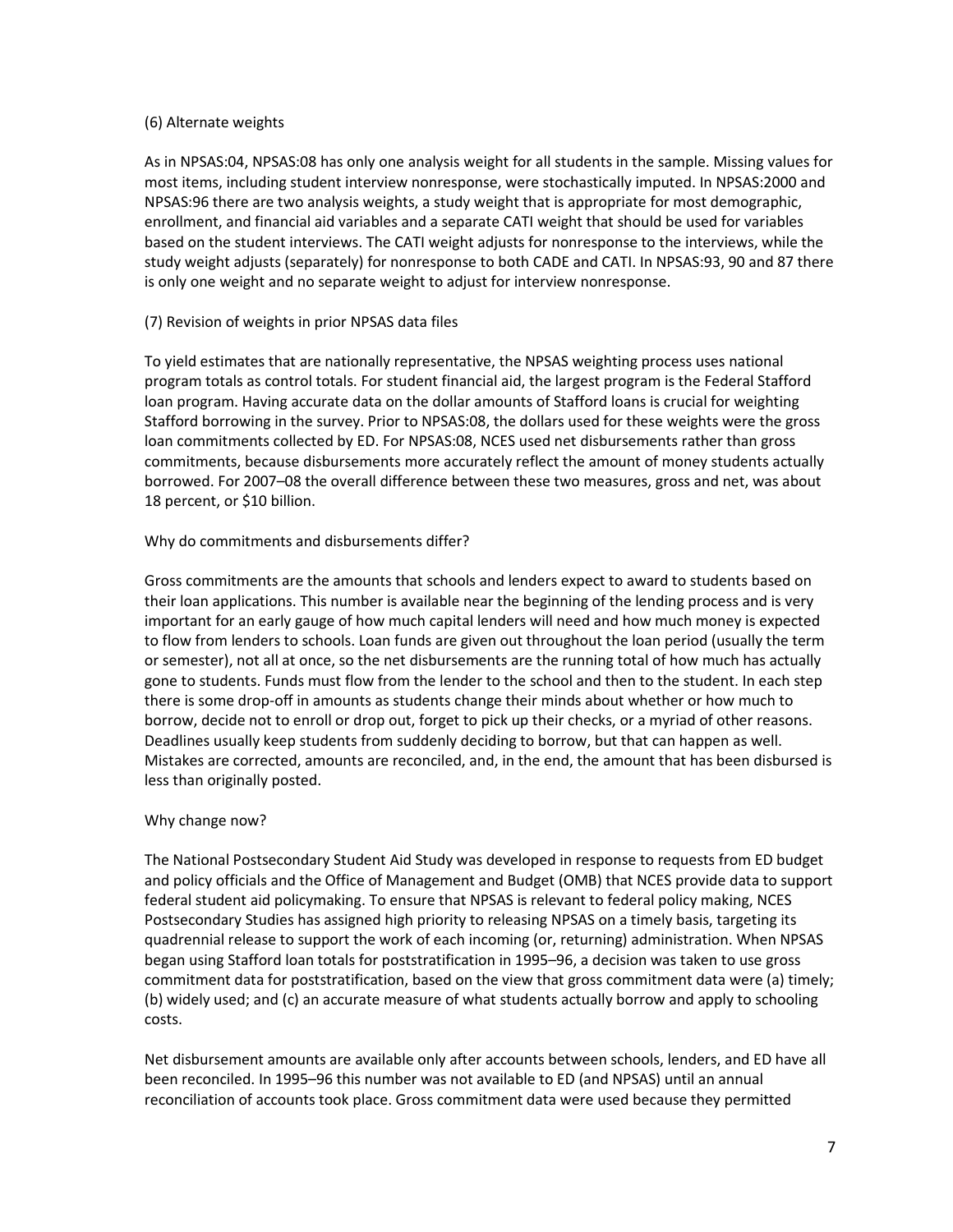#### <span id="page-6-0"></span>(6) Alternate weights

As in NPSAS:04, NPSAS:08 has only one analysis weight for all students in the sample. Missing values for most items, including student interview nonresponse, were stochastically imputed. In NPSAS:2000 and NPSAS:96 there are two analysis weights, a study weight that is appropriate for most demographic, enrollment, and financial aid variables and a separate CATI weight that should be used for variables based on the student interviews. The CATI weight adjusts for nonresponse to the interviews, while the study weight adjusts (separately) for nonresponse to both CADE and CATI. In NPSAS:93, 90 and 87 there is only one weight and no separate weight to adjust for interview nonresponse.

#### <span id="page-6-1"></span>(7) Revision of weights in prior NPSAS data files

To yield estimates that are nationally representative, the NPSAS weighting process uses national program totals as control totals. For student financial aid, the largest program is the Federal Stafford loan program. Having accurate data on the dollar amounts of Stafford loans is crucial for weighting Stafford borrowing in the survey. Prior to NPSAS:08, the dollars used for these weights were the gross loan commitments collected by ED. For NPSAS:08, NCES used net disbursements rather than gross commitments, because disbursements more accurately reflect the amount of money students actually borrowed. For 2007–08 the overall difference between these two measures, gross and net, was about 18 percent, or \$10 billion.

#### Why do commitments and disbursements differ?

Gross commitments are the amounts that schools and lenders expect to award to students based on their loan applications. This number is available near the beginning of the lending process and is very important for an early gauge of how much capital lenders will need and how much money is expected to flow from lenders to schools. Loan funds are given out throughout the loan period (usually the term or semester), not all at once, so the net disbursements are the running total of how much has actually gone to students. Funds must flow from the lender to the school and then to the student. In each step there is some drop-off in amounts as students change their minds about whether or how much to borrow, decide not to enroll or drop out, forget to pick up their checks, or a myriad of other reasons. Deadlines usually keep students from suddenly deciding to borrow, but that can happen as well. Mistakes are corrected, amounts are reconciled, and, in the end, the amount that has been disbursed is less than originally posted.

#### Why change now?

The National Postsecondary Student Aid Study was developed in response to requests from ED budget and policy officials and the Office of Management and Budget (OMB) that NCES provide data to support federal student aid policymaking. To ensure that NPSAS is relevant to federal policy making, NCES Postsecondary Studies has assigned high priority to releasing NPSAS on a timely basis, targeting its quadrennial release to support the work of each incoming (or, returning) administration. When NPSAS began using Stafford loan totals for poststratification in 1995–96, a decision was taken to use gross commitment data for poststratification, based on the view that gross commitment data were (a) timely; (b) widely used; and (c) an accurate measure of what students actually borrow and apply to schooling costs.

Net disbursement amounts are available only after accounts between schools, lenders, and ED have all been reconciled. In 1995–96 this number was not available to ED (and NPSAS) until an annual reconciliation of accounts took place. Gross commitment data were used because they permitted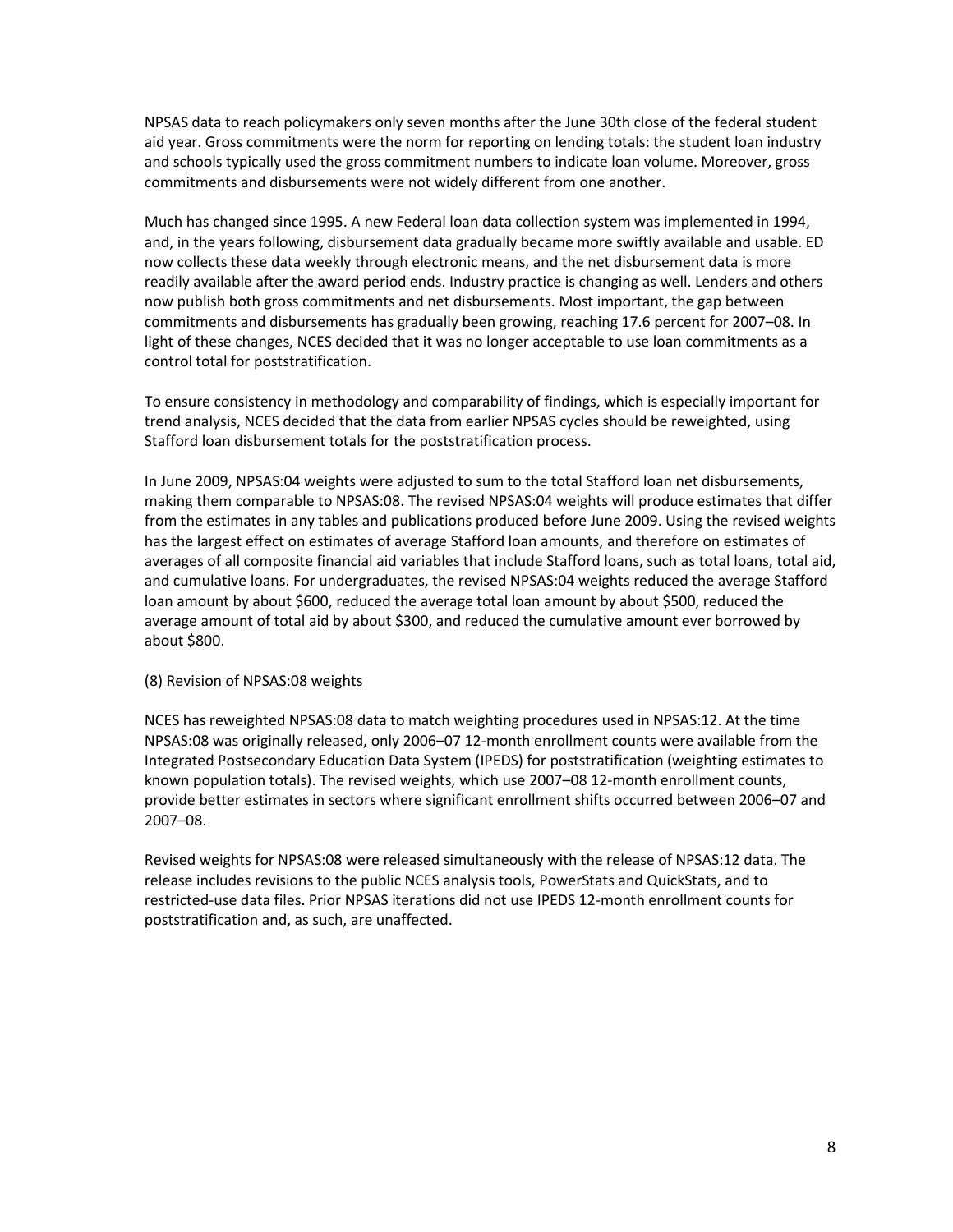NPSAS data to reach policymakers only seven months after the June 30th close of the federal student aid year. Gross commitments were the norm for reporting on lending totals: the student loan industry and schools typically used the gross commitment numbers to indicate loan volume. Moreover, gross commitments and disbursements were not widely different from one another.

Much has changed since 1995. A new Federal loan data collection system was implemented in 1994, and, in the years following, disbursement data gradually became more swiftly available and usable. ED now collects these data weekly through electronic means, and the net disbursement data is more readily available after the award period ends. Industry practice is changing as well. Lenders and others now publish both gross commitments and net disbursements. Most important, the gap between commitments and disbursements has gradually been growing, reaching 17.6 percent for 2007–08. In light of these changes, NCES decided that it was no longer acceptable to use loan commitments as a control total for poststratification.

To ensure consistency in methodology and comparability of findings, which is especially important for trend analysis, NCES decided that the data from earlier NPSAS cycles should be reweighted, using Stafford loan disbursement totals for the poststratification process.

In June 2009, NPSAS:04 weights were adjusted to sum to the total Stafford loan net disbursements, making them comparable to NPSAS:08. The revised NPSAS:04 weights will produce estimates that differ from the estimates in any tables and publications produced before June 2009. Using the revised weights has the largest effect on estimates of average Stafford loan amounts, and therefore on estimates of averages of all composite financial aid variables that include Stafford loans, such as total loans, total aid, and cumulative loans. For undergraduates, the revised NPSAS:04 weights reduced the average Stafford loan amount by about \$600, reduced the average total loan amount by about \$500, reduced the average amount of total aid by about \$300, and reduced the cumulative amount ever borrowed by about \$800.

#### <span id="page-7-0"></span>(8) Revision of NPSAS:08 weights

NCES has reweighted NPSAS:08 data to match weighting procedures used in NPSAS:12. At the time NPSAS:08 was originally released, only 2006–07 12-month enrollment counts were available from the Integrated Postsecondary Education Data System (IPEDS) for poststratification (weighting estimates to known population totals). The revised weights, which use 2007–08 12-month enrollment counts, provide better estimates in sectors where significant enrollment shifts occurred between 2006–07 and 2007–08.

Revised weights for NPSAS:08 were released simultaneously with the release of NPSAS:12 data. The release includes revisions to the public NCES analysis tools, PowerStats and QuickStats, and to restricted-use data files. Prior NPSAS iterations did not use IPEDS 12-month enrollment counts for poststratification and, as such, are unaffected.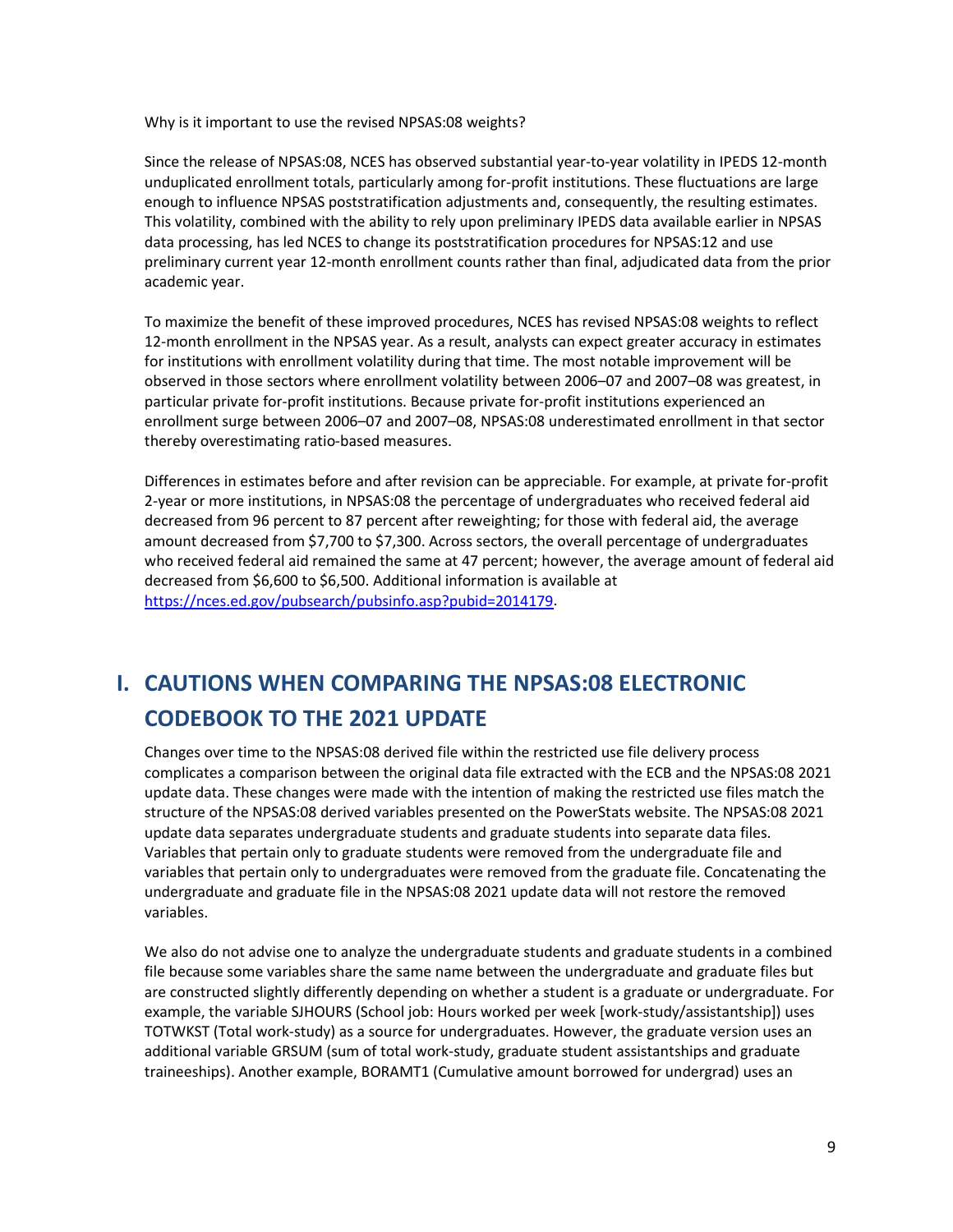Why is it important to use the revised NPSAS:08 weights?

Since the release of NPSAS:08, NCES has observed substantial year-to-year volatility in IPEDS 12-month unduplicated enrollment totals, particularly among for-profit institutions. These fluctuations are large enough to influence NPSAS poststratification adjustments and, consequently, the resulting estimates. This volatility, combined with the ability to rely upon preliminary IPEDS data available earlier in NPSAS data processing, has led NCES to change its poststratification procedures for NPSAS:12 and use preliminary current year 12-month enrollment counts rather than final, adjudicated data from the prior academic year.

To maximize the benefit of these improved procedures, NCES has revised NPSAS:08 weights to reflect 12-month enrollment in the NPSAS year. As a result, analysts can expect greater accuracy in estimates for institutions with enrollment volatility during that time. The most notable improvement will be observed in those sectors where enrollment volatility between 2006–07 and 2007–08 was greatest, in particular private for-profit institutions. Because private for-profit institutions experienced an enrollment surge between 2006–07 and 2007–08, NPSAS:08 underestimated enrollment in that sector thereby overestimating ratio-based measures.

Differences in estimates before and after revision can be appreciable. For example, at private for-profit 2-year or more institutions, in NPSAS:08 the percentage of undergraduates who received federal aid decreased from 96 percent to 87 percent after reweighting; for those with federal aid, the average amount decreased from \$7,700 to \$7,300. Across sectors, the overall percentage of undergraduates who received federal aid remained the same at 47 percent; however, the average amount of federal aid decreased from \$6,600 to \$6,500. Additional information is available at [https://nces.ed.gov/pubsearch/pubsinfo.asp?pubid=2014179.](https://nces.ed.gov/pubsearch/pubsinfo.asp?pubid=2014179)

# <span id="page-8-0"></span>**I. CAUTIONS WHEN COMPARING THE NPSAS:08 ELECTRONIC CODEBOOK TO THE 2021 UPDATE**

Changes over time to the NPSAS:08 derived file within the restricted use file delivery process complicates a comparison between the original data file extracted with the ECB and the NPSAS:08 2021 update data. These changes were made with the intention of making the restricted use files match the structure of the NPSAS:08 derived variables presented on the PowerStats website. The NPSAS:08 2021 update data separates undergraduate students and graduate students into separate data files. Variables that pertain only to graduate students were removed from the undergraduate file and variables that pertain only to undergraduates were removed from the graduate file. Concatenating the undergraduate and graduate file in the NPSAS:08 2021 update data will not restore the removed variables.

We also do not advise one to analyze the undergraduate students and graduate students in a combined file because some variables share the same name between the undergraduate and graduate files but are constructed slightly differently depending on whether a student is a graduate or undergraduate. For example, the variable SJHOURS (School job: Hours worked per week [work-study/assistantship]) uses TOTWKST (Total work-study) as a source for undergraduates. However, the graduate version uses an additional variable GRSUM (sum of total work-study, graduate student assistantships and graduate traineeships). Another example, BORAMT1 (Cumulative amount borrowed for undergrad) uses an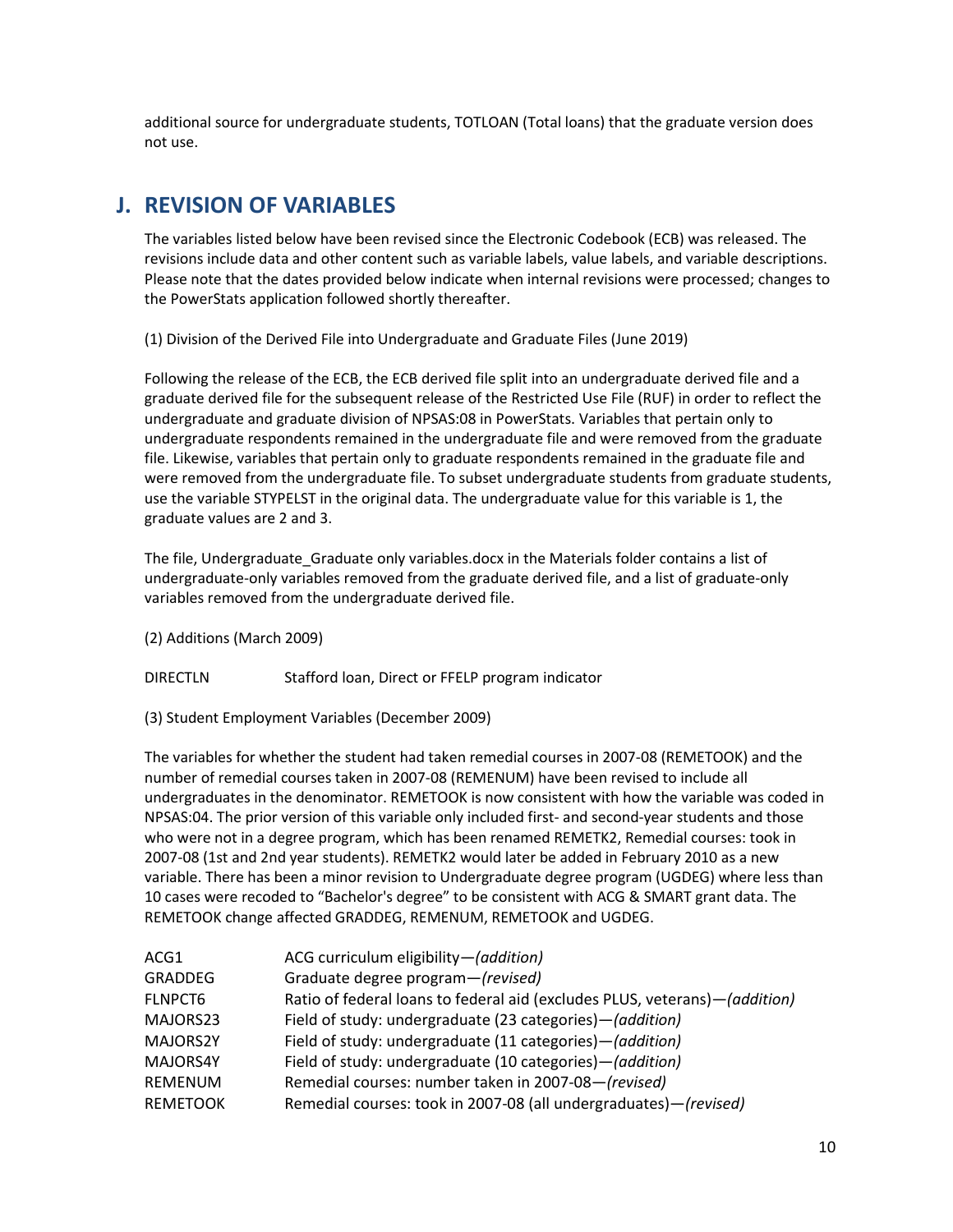additional source for undergraduate students, TOTLOAN (Total loans) that the graduate version does not use.

### <span id="page-9-0"></span>**J. REVISION OF VARIABLES**

The variables listed below have been revised since the Electronic Codebook (ECB) was released. The revisions include data and other content such as variable labels, value labels, and variable descriptions. Please note that the dates provided below indicate when internal revisions were processed; changes to the PowerStats application followed shortly thereafter.

(1) Division of the Derived File into Undergraduate and Graduate Files (June 2019)

Following the release of the ECB, the ECB derived file split into an undergraduate derived file and a graduate derived file for the subsequent release of the Restricted Use File (RUF) in order to reflect the undergraduate and graduate division of NPSAS:08 in PowerStats. Variables that pertain only to undergraduate respondents remained in the undergraduate file and were removed from the graduate file. Likewise, variables that pertain only to graduate respondents remained in the graduate file and were removed from the undergraduate file. To subset undergraduate students from graduate students, use the variable STYPELST in the original data. The undergraduate value for this variable is 1, the graduate values are 2 and 3.

The file, Undergraduate Graduate only variables.docx in the Materials folder contains a list of undergraduate-only variables removed from the graduate derived file, and a list of graduate-only variables removed from the undergraduate derived file.

- (2) Additions (March 2009)
- DIRECTLN Stafford loan, Direct or FFELP program indicator
- (3) Student Employment Variables (December 2009)

The variables for whether the student had taken remedial courses in 2007-08 (REMETOOK) and the number of remedial courses taken in 2007-08 (REMENUM) have been revised to include all undergraduates in the denominator. REMETOOK is now consistent with how the variable was coded in NPSAS:04. The prior version of this variable only included first- and second-year students and those who were not in a degree program, which has been renamed REMETK2, Remedial courses: took in 2007-08 (1st and 2nd year students). REMETK2 would later be added in February 2010 as a new variable. There has been a minor revision to Undergraduate degree program (UGDEG) where less than 10 cases were recoded to "Bachelor's degree" to be consistent with ACG & SMART grant data. The REMETOOK change affected GRADDEG, REMENUM, REMETOOK and UGDEG.

| ACG1            | ACG curriculum eligibility-(addition)                                      |
|-----------------|----------------------------------------------------------------------------|
| <b>GRADDEG</b>  | Graduate degree program-(revised)                                          |
| <b>FLNPCT6</b>  | Ratio of federal loans to federal aid (excludes PLUS, veterans)-(addition) |
| MAJORS23        | Field of study: undergraduate (23 categories) – (addition)                 |
| MAJORS2Y        | Field of study: undergraduate (11 categories)-(addition)                   |
| MAJORS4Y        | Field of study: undergraduate (10 categories) - (addition)                 |
| <b>REMENUM</b>  | Remedial courses: number taken in 2007-08-(revised)                        |
| <b>REMETOOK</b> | Remedial courses: took in 2007-08 (all undergraduates)-(revised)           |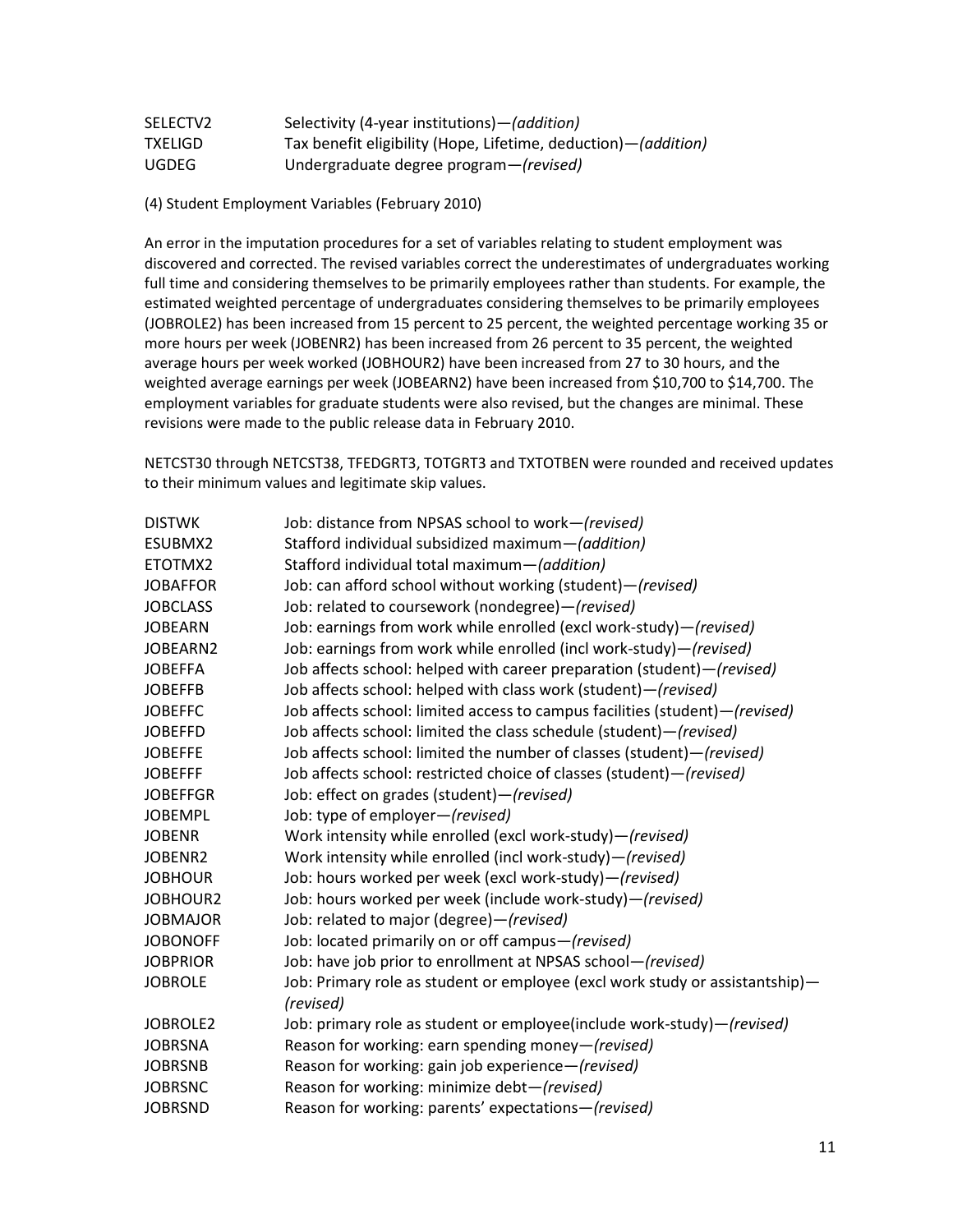| SELECTV2       | Selectivity (4-year institutions) - (addition)                   |
|----------------|------------------------------------------------------------------|
| <b>TXELIGD</b> | Tax benefit eligibility (Hope, Lifetime, deduction) - (addition) |
| UGDEG          | Undergraduate degree program-(revised)                           |

(4) Student Employment Variables (February 2010)

An error in the imputation procedures for a set of variables relating to student employment was discovered and corrected. The revised variables correct the underestimates of undergraduates working full time and considering themselves to be primarily employees rather than students. For example, the estimated weighted percentage of undergraduates considering themselves to be primarily employees (JOBROLE2) has been increased from 15 percent to 25 percent, the weighted percentage working 35 or more hours per week (JOBENR2) has been increased from 26 percent to 35 percent, the weighted average hours per week worked (JOBHOUR2) have been increased from 27 to 30 hours, and the weighted average earnings per week (JOBEARN2) have been increased from \$10,700 to \$14,700. The employment variables for graduate students were also revised, but the changes are minimal. These revisions were made to the public release data in February 2010.

NETCST30 through NETCST38, TFEDGRT3, TOTGRT3 and TXTOTBEN were rounded and received updates to their minimum values and legitimate skip values.

| Job: distance from NPSAS school to work-(revised)                                         |
|-------------------------------------------------------------------------------------------|
| Stafford individual subsidized maximum-(addition)                                         |
| Stafford individual total maximum-(addition)                                              |
| Job: can afford school without working (student)-(revised)                                |
| Job: related to coursework (nondegree)-(revised)                                          |
| Job: earnings from work while enrolled (excl work-study)-(revised)                        |
| Job: earnings from work while enrolled (incl work-study)-(revised)                        |
| Job affects school: helped with career preparation (student)-(revised)                    |
| Job affects school: helped with class work (student)-(revised)                            |
| Job affects school: limited access to campus facilities (student)-(revised)               |
| Job affects school: limited the class schedule (student)-(revised)                        |
| Job affects school: limited the number of classes (student)-(revised)                     |
| Job affects school: restricted choice of classes (student)-(revised)                      |
| Job: effect on grades (student)-(revised)                                                 |
| Job: type of employer-(revised)                                                           |
| Work intensity while enrolled (excl work-study)-(revised)                                 |
| Work intensity while enrolled (incl work-study)-(revised)                                 |
| Job: hours worked per week (excl work-study)-(revised)                                    |
| Job: hours worked per week (include work-study)-(revised)                                 |
| Job: related to major (degree)-(revised)                                                  |
| Job: located primarily on or off campus-(revised)                                         |
| Job: have job prior to enrollment at NPSAS school-(revised)                               |
| Job: Primary role as student or employee (excl work study or assistantship)-<br>(revised) |
| Job: primary role as student or employee(include work-study)-(revised)                    |
| Reason for working: earn spending money-(revised)                                         |
| Reason for working: gain job experience-(revised)                                         |
| Reason for working: minimize debt-(revised)                                               |
| Reason for working: parents' expectations-(revised)                                       |
|                                                                                           |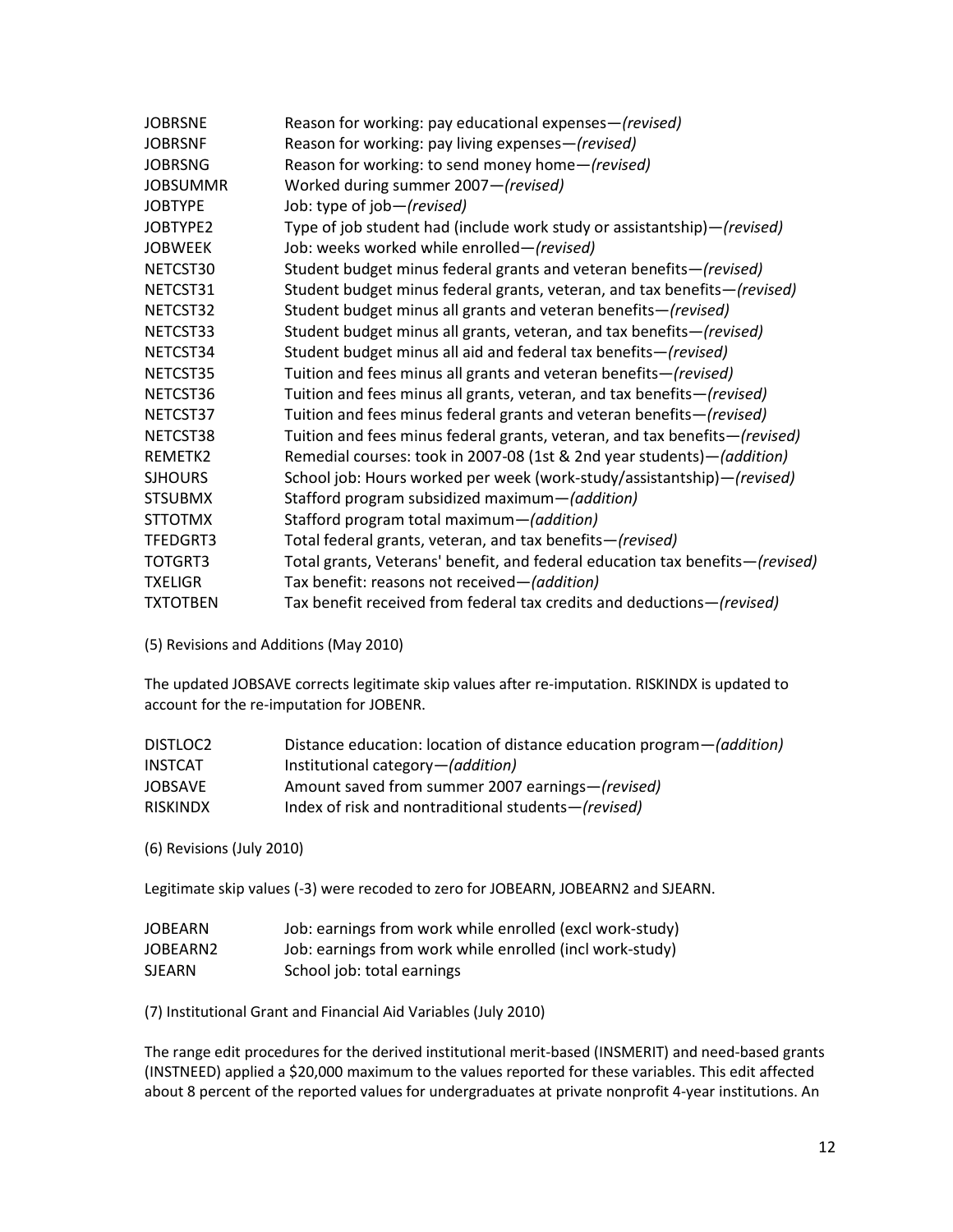| <b>JOBRSNE</b>  | Reason for working: pay educational expenses-(revised)                        |
|-----------------|-------------------------------------------------------------------------------|
| <b>JOBRSNF</b>  | Reason for working: pay living expenses-(revised)                             |
| <b>JOBRSNG</b>  | Reason for working: to send money home-(revised)                              |
| <b>JOBSUMMR</b> | Worked during summer 2007-(revised)                                           |
| <b>JOBTYPE</b>  | Job: type of job-(revised)                                                    |
| JOBTYPE2        | Type of job student had (include work study or assistantship)-(revised)       |
| <b>JOBWEEK</b>  | Job: weeks worked while enrolled-(revised)                                    |
| NETCST30        | Student budget minus federal grants and veteran benefits-(revised)            |
| NETCST31        | Student budget minus federal grants, veteran, and tax benefits-(revised)      |
| NETCST32        | Student budget minus all grants and veteran benefits-(revised)                |
| NETCST33        | Student budget minus all grants, veteran, and tax benefits-(revised)          |
| NETCST34        | Student budget minus all aid and federal tax benefits-(revised)               |
| NETCST35        | Tuition and fees minus all grants and veteran benefits-(revised)              |
| NETCST36        | Tuition and fees minus all grants, veteran, and tax benefits-(revised)        |
| NETCST37        | Tuition and fees minus federal grants and veteran benefits-(revised)          |
| NETCST38        | Tuition and fees minus federal grants, veteran, and tax benefits-(revised)    |
| REMETK2         | Remedial courses: took in 2007-08 (1st & 2nd year students)-(addition)        |
| <b>SJHOURS</b>  | School job: Hours worked per week (work-study/assistantship)—(revised)        |
| <b>STSUBMX</b>  | Stafford program subsidized maximum-(addition)                                |
| <b>STTOTMX</b>  | Stafford program total maximum-(addition)                                     |
| TFEDGRT3        | Total federal grants, veteran, and tax benefits-(revised)                     |
| TOTGRT3         | Total grants, Veterans' benefit, and federal education tax benefits-(revised) |
| <b>TXELIGR</b>  | Tax benefit: reasons not received-(addition)                                  |
| <b>TXTOTBEN</b> | Tax benefit received from federal tax credits and deductions-(revised)        |
|                 |                                                                               |

(5) Revisions and Additions (May 2010)

The updated JOBSAVE corrects legitimate skip values after re-imputation. RISKINDX is updated to account for the re-imputation for JOBENR.

| DISTLOC2        | Distance education: location of distance education program - (addition) |
|-----------------|-------------------------------------------------------------------------|
| INSTCAT         | Institutional category-( <i>addition</i> )                              |
| <b>JOBSAVE</b>  | Amount saved from summer 2007 earnings-(revised)                        |
| <b>RISKINDX</b> | Index of risk and nontraditional students-(revised)                     |

(6) Revisions (July 2010)

Legitimate skip values (-3) were recoded to zero for JOBEARN, JOBEARN2 and SJEARN.

| <b>JOBEARN</b> | Job: earnings from work while enrolled (excl work-study) |
|----------------|----------------------------------------------------------|
| JOBEARN2       | Job: earnings from work while enrolled (incl work-study) |
| <b>SJEARN</b>  | School job: total earnings                               |

(7) Institutional Grant and Financial Aid Variables (July 2010)

The range edit procedures for the derived institutional merit-based (INSMERIT) and need-based grants (INSTNEED) applied a \$20,000 maximum to the values reported for these variables. This edit affected about 8 percent of the reported values for undergraduates at private nonprofit 4-year institutions. An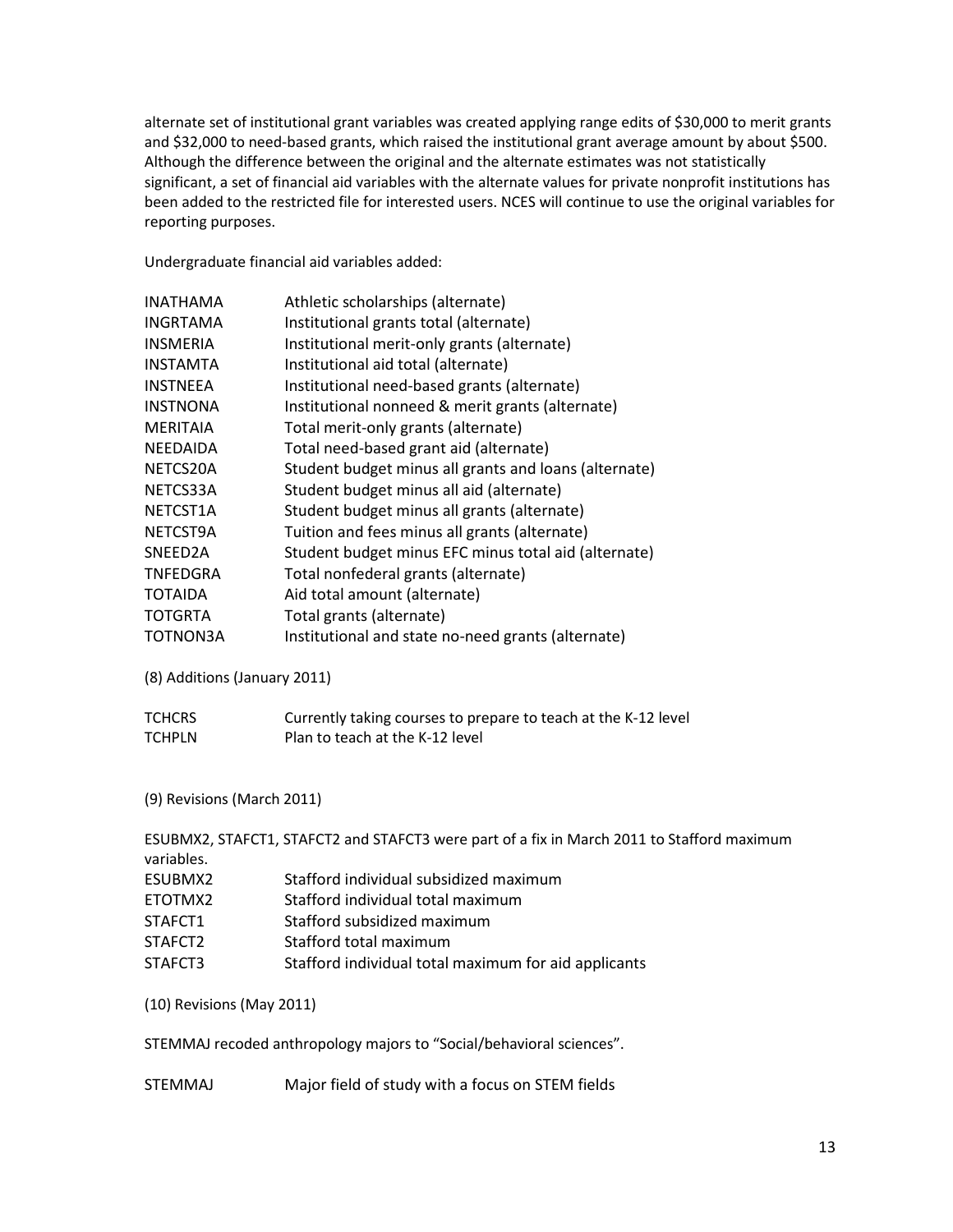alternate set of institutional grant variables was created applying range edits of \$30,000 to merit grants and \$32,000 to need-based grants, which raised the institutional grant average amount by about \$500. Although the difference between the original and the alternate estimates was not statistically significant, a set of financial aid variables with the alternate values for private nonprofit institutions has been added to the restricted file for interested users. NCES will continue to use the original variables for reporting purposes.

Undergraduate financial aid variables added:

| <b>INATHAMA</b>              | Athletic scholarships (alternate)                                                          |
|------------------------------|--------------------------------------------------------------------------------------------|
| <b>INGRTAMA</b>              | Institutional grants total (alternate)                                                     |
| <b>INSMERIA</b>              | Institutional merit-only grants (alternate)                                                |
| <b>INSTAMTA</b>              | Institutional aid total (alternate)                                                        |
| <b>INSTNEEA</b>              | Institutional need-based grants (alternate)                                                |
| <b>INSTNONA</b>              | Institutional nonneed & merit grants (alternate)                                           |
| <b>MERITAIA</b>              | Total merit-only grants (alternate)                                                        |
| <b>NEEDAIDA</b>              | Total need-based grant aid (alternate)                                                     |
| NETCS20A                     | Student budget minus all grants and loans (alternate)                                      |
| NETCS33A                     | Student budget minus all aid (alternate)                                                   |
| NETCST1A                     | Student budget minus all grants (alternate)                                                |
| NETCST9A                     | Tuition and fees minus all grants (alternate)                                              |
| SNEED2A                      | Student budget minus EFC minus total aid (alternate)                                       |
| <b>TNFEDGRA</b>              | Total nonfederal grants (alternate)                                                        |
| <b>TOTAIDA</b>               | Aid total amount (alternate)                                                               |
| <b>TOTGRTA</b>               | Total grants (alternate)                                                                   |
| TOTNON3A                     | Institutional and state no-need grants (alternate)                                         |
| (8) Additions (January 2011) |                                                                                            |
| <b>TCHCRS</b>                | Currently taking courses to prepare to teach at the K-12 level                             |
| <b>TCHPLN</b>                | Plan to teach at the K-12 level                                                            |
| (9) Revisions (March 2011)   |                                                                                            |
|                              |                                                                                            |
|                              | ESUBMX2, STAFCT1, STAFCT2 and STAFCT3 were part of a fix in March 2011 to Stafford maximum |
| variables.                   |                                                                                            |
| ESUBMX2                      | Stafford individual subsidized maximum                                                     |
| ETOTMX2                      | Stafford individual total maximum                                                          |
| STAFCT1                      | Stafford subsidized maximum                                                                |
| STAFCT2                      | Stafford total maximum                                                                     |
| STAFCT3                      | Stafford individual total maximum for aid applicants                                       |
| (10) Revisions (May 2011)    |                                                                                            |

STEMMAJ recoded anthropology majors to "Social/behavioral sciences".

STEMMAJ Major field of study with a focus on STEM fields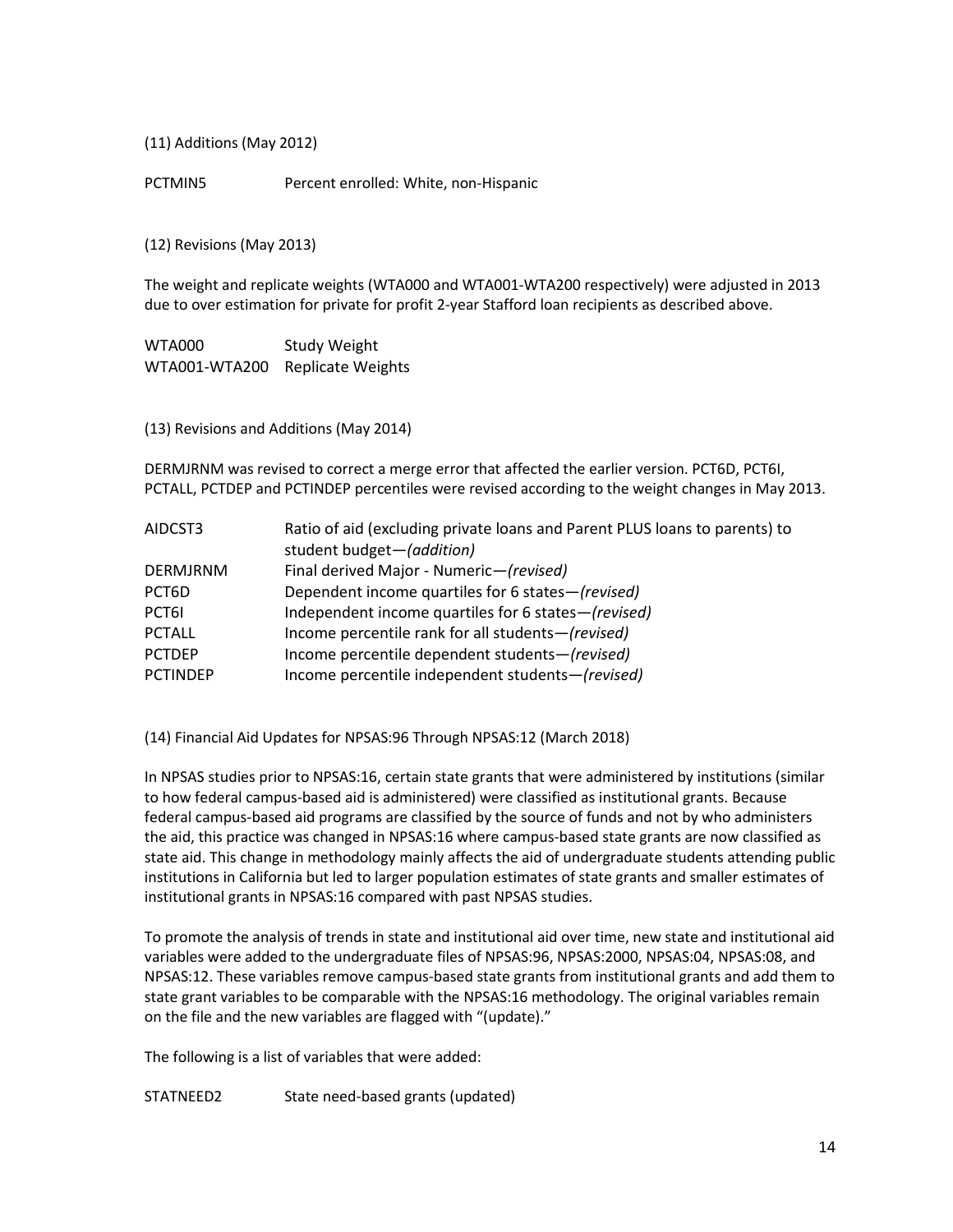(11) Additions (May 2012)

PCTMIN5 Percent enrolled: White, non-Hispanic

(12) Revisions (May 2013)

The weight and replicate weights (WTA000 and WTA001-WTA200 respectively) were adjusted in 2013 due to over estimation for private for profit 2-year Stafford loan recipients as described above.

WTA000 Study Weight WTA001-WTA200 Replicate Weights

(13) Revisions and Additions (May 2014)

DERMJRNM was revised to correct a merge error that affected the earlier version. PCT6D, PCT6I, PCTALL, PCTDEP and PCTINDEP percentiles were revised according to the weight changes in May 2013.

| AIDCST3         | Ratio of aid (excluding private loans and Parent PLUS loans to parents) to |
|-----------------|----------------------------------------------------------------------------|
|                 | student budget-(addition)                                                  |
| <b>DERMJRNM</b> | Final derived Major - Numeric-(revised)                                    |
| PCT6D           | Dependent income quartiles for 6 states-(revised)                          |
| PCT61           | Independent income quartiles for 6 states-(revised)                        |
| <b>PCTALL</b>   | Income percentile rank for all students-(revised)                          |
| <b>PCTDEP</b>   | Income percentile dependent students-(revised)                             |
| <b>PCTINDEP</b> | Income percentile independent students-(revised)                           |

(14) Financial Aid Updates for NPSAS:96 Through NPSAS:12 (March 2018)

In NPSAS studies prior to NPSAS:16, certain state grants that were administered by institutions (similar to how federal campus-based aid is administered) were classified as institutional grants. Because federal campus-based aid programs are classified by the source of funds and not by who administers the aid, this practice was changed in NPSAS:16 where campus-based state grants are now classified as state aid. This change in methodology mainly affects the aid of undergraduate students attending public institutions in California but led to larger population estimates of state grants and smaller estimates of institutional grants in NPSAS:16 compared with past NPSAS studies.

To promote the analysis of trends in state and institutional aid over time, new state and institutional aid variables were added to the undergraduate files of NPSAS:96, NPSAS:2000, NPSAS:04, NPSAS:08, and NPSAS:12. These variables remove campus-based state grants from institutional grants and add them to state grant variables to be comparable with the NPSAS:16 methodology. The original variables remain on the file and the new variables are flagged with "(update)."

The following is a list of variables that were added:

STATNEED2 State need-based grants (updated)